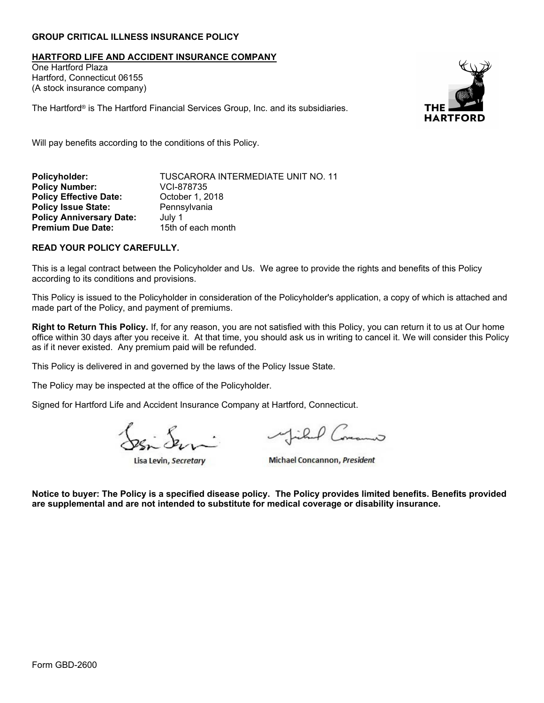## **GROUP CRITICAL ILLNESS INSURANCE POLICY**

**HARTFORD LIFE AND ACCIDENT INSURANCE COMPANY**

One Hartford Plaza Hartford, Connecticut 06155 (A stock insurance company)

The Hartford® is The Hartford Financial Services Group, Inc. and its subsidiaries.



Will pay benefits according to the conditions of this Policy.

| Policyholder:                   | <b>TUSCARORA INTERMEDIATE UNIT NO. 11</b> |
|---------------------------------|-------------------------------------------|
| <b>Policy Number:</b>           | VCI-878735                                |
| <b>Policy Effective Date:</b>   | October 1, 2018                           |
| <b>Policy Issue State:</b>      | Pennsylvania                              |
| <b>Policy Anniversary Date:</b> | July 1                                    |
| <b>Premium Due Date:</b>        | 15th of each month                        |

### **READ YOUR POLICY CAREFULLY.**

This is a legal contract between the Policyholder and Us. We agree to provide the rights and benefits of this Policy according to its conditions and provisions.

This Policy is issued to the Policyholder in consideration of the Policyholder's application, a copy of which is attached and made part of the Policy, and payment of premiums.

**Right to Return This Policy.** If, for any reason, you are not satisfied with this Policy, you can return it to us at Our home office within 30 days after you receive it. At that time, you should ask us in writing to cancel it. We will consider this Policy as if it never existed. Any premium paid will be refunded.

This Policy is delivered in and governed by the laws of the Policy Issue State.

The Policy may be inspected at the office of the Policyholder.

Signed for Hartford Life and Accident Insurance Company at Hartford, Connecticut.

Lisa Levin, Secretary

Michael Concannon, President

**Notice to buyer: The Policy is a specified disease policy. The Policy provides limited benefits. Benefits provided are supplemental and are not intended to substitute for medical coverage or disability insurance.**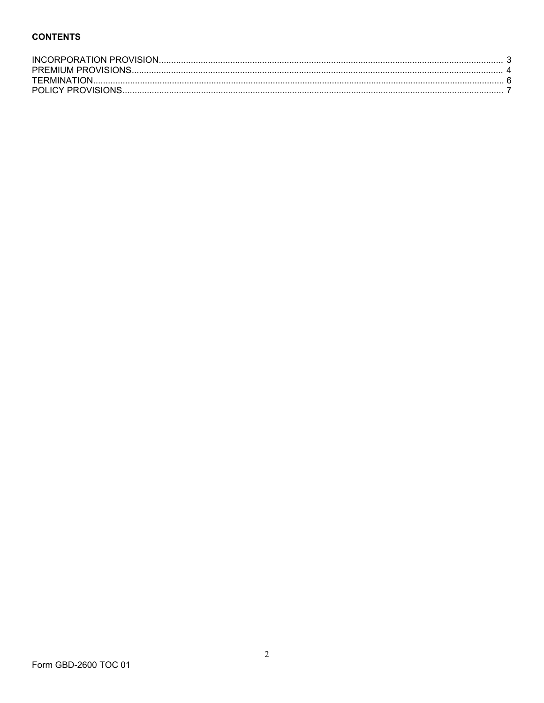# **CONTENTS**

| TERMINATION |  |
|-------------|--|
|             |  |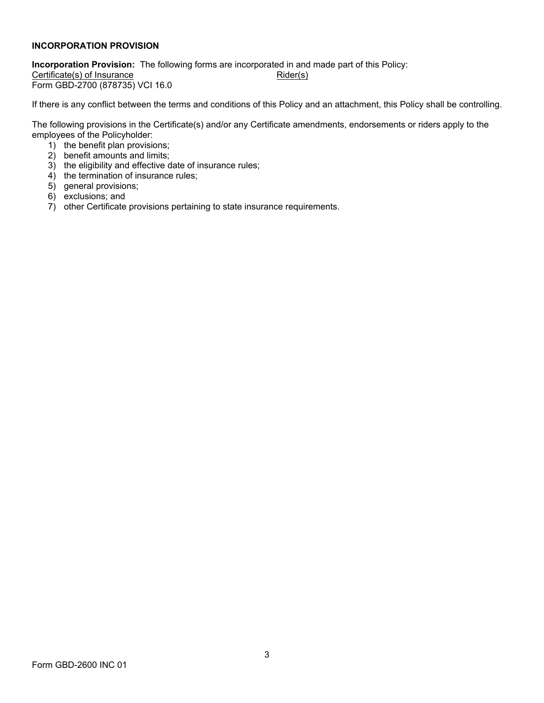## <span id="page-2-0"></span>**INCORPORATION PROVISION**

**Incorporation Provision:** The following forms are incorporated in and made part of this Policy: Certificate(s) of Insurance Rider(s) Form GBD-2700 (878735) VCI 16.0

If there is any conflict between the terms and conditions of this Policy and an attachment, this Policy shall be controlling.

The following provisions in the Certificate(s) and/or any Certificate amendments, endorsements or riders apply to the employees of the Policyholder:

- 1) the benefit plan provisions;
- 2) benefit amounts and limits;
- 3) the eligibility and effective date of insurance rules;
- 4) the termination of insurance rules;
- 5) general provisions;
- 6) exclusions; and
- 7) other Certificate provisions pertaining to state insurance requirements.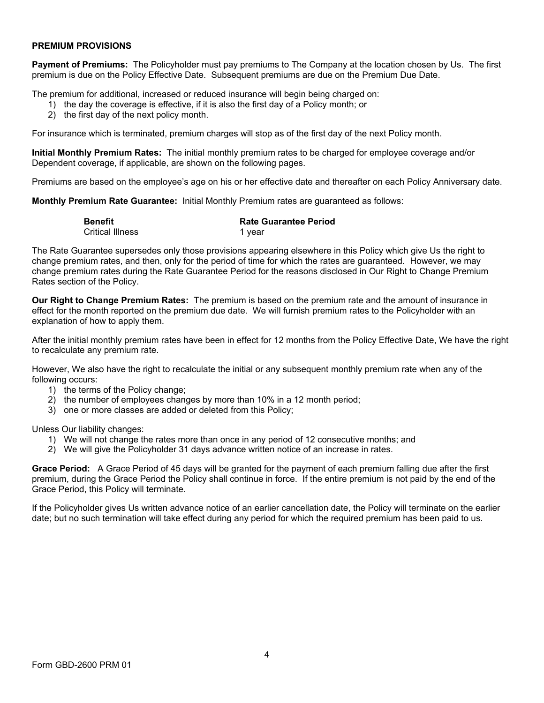#### <span id="page-3-0"></span>**PREMIUM PROVISIONS**

**Payment of Premiums:** The Policyholder must pay premiums to The Company at the location chosen by Us. The first premium is due on the Policy Effective Date. Subsequent premiums are due on the Premium Due Date.

The premium for additional, increased or reduced insurance will begin being charged on:

- 1) the day the coverage is effective, if it is also the first day of a Policy month; or
- 2) the first day of the next policy month.

For insurance which is terminated, premium charges will stop as of the first day of the next Policy month.

**Initial Monthly Premium Rates:** The initial monthly premium rates to be charged for employee coverage and/or Dependent coverage, if applicable, are shown on the following pages.

Premiums are based on the employee's age on his or her effective date and thereafter on each Policy Anniversary date.

**Monthly Premium Rate Guarantee:** Initial Monthly Premium rates are guaranteed as follows:

| <b>Benefit</b>          | <b>Rate Guarantee Period</b> |  |
|-------------------------|------------------------------|--|
| <b>Critical Illness</b> | 1 year                       |  |

The Rate Guarantee supersedes only those provisions appearing elsewhere in this Policy which give Us the right to change premium rates, and then, only for the period of time for which the rates are guaranteed. However, we may change premium rates during the Rate Guarantee Period for the reasons disclosed in Our Right to Change Premium Rates section of the Policy.

**Our Right to Change Premium Rates:** The premium is based on the premium rate and the amount of insurance in effect for the month reported on the premium due date. We will furnish premium rates to the Policyholder with an explanation of how to apply them.

After the initial monthly premium rates have been in effect for 12 months from the Policy Effective Date, We have the right to recalculate any premium rate.

However, We also have the right to recalculate the initial or any subsequent monthly premium rate when any of the following occurs:

- 1) the terms of the Policy change;
- 2) the number of employees changes by more than 10% in a 12 month period;
- 3) one or more classes are added or deleted from this Policy;

Unless Our liability changes:

- 1) We will not change the rates more than once in any period of 12 consecutive months; and
- 2) We will give the Policyholder 31 days advance written notice of an increase in rates.

**Grace Period:** A Grace Period of 45 days will be granted for the payment of each premium falling due after the first premium, during the Grace Period the Policy shall continue in force. If the entire premium is not paid by the end of the Grace Period, this Policy will terminate.

If the Policyholder gives Us written advance notice of an earlier cancellation date, the Policy will terminate on the earlier date; but no such termination will take effect during any period for which the required premium has been paid to us.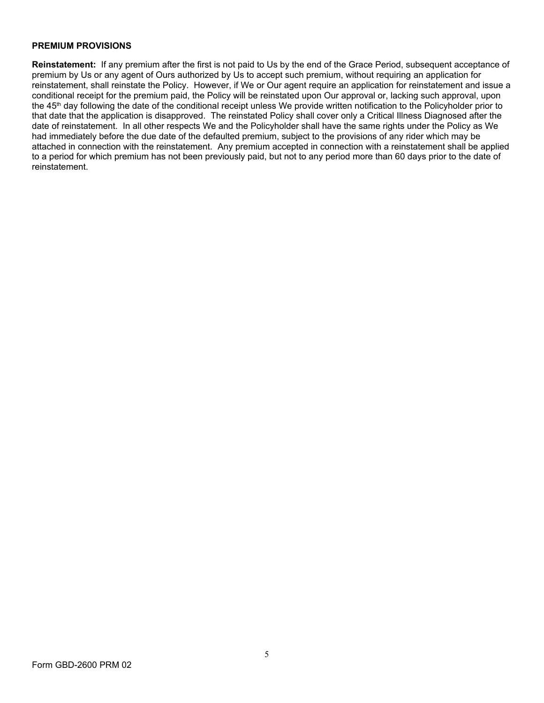## **PREMIUM PROVISIONS**

**Reinstatement:** If any premium after the first is not paid to Us by the end of the Grace Period, subsequent acceptance of premium by Us or any agent of Ours authorized by Us to accept such premium, without requiring an application for reinstatement, shall reinstate the Policy. However, if We or Our agent require an application for reinstatement and issue a conditional receipt for the premium paid, the Policy will be reinstated upon Our approval or, lacking such approval, upon the 45th day following the date of the conditional receipt unless We provide written notification to the Policyholder prior to that date that the application is disapproved. The reinstated Policy shall cover only a Critical Illness Diagnosed after the date of reinstatement. In all other respects We and the Policyholder shall have the same rights under the Policy as We had immediately before the due date of the defaulted premium, subject to the provisions of any rider which may be attached in connection with the reinstatement. Any premium accepted in connection with a reinstatement shall be applied to a period for which premium has not been previously paid, but not to any period more than 60 days prior to the date of reinstatement.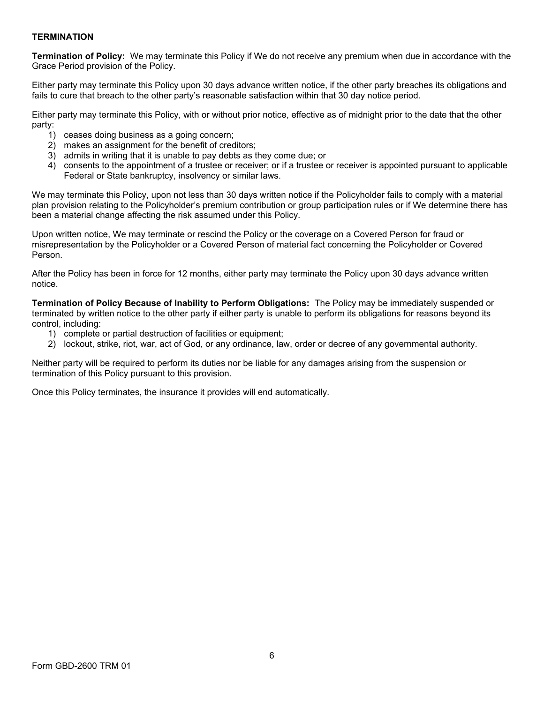# <span id="page-5-0"></span>**TERMINATION**

**Termination of Policy:** We may terminate this Policy if We do not receive any premium when due in accordance with the Grace Period provision of the Policy.

Either party may terminate this Policy upon 30 days advance written notice, if the other party breaches its obligations and fails to cure that breach to the other party's reasonable satisfaction within that 30 day notice period.

Either party may terminate this Policy, with or without prior notice, effective as of midnight prior to the date that the other party:

- 1) ceases doing business as a going concern;
- 2) makes an assignment for the benefit of creditors;
- 3) admits in writing that it is unable to pay debts as they come due; or
- 4) consents to the appointment of a trustee or receiver; or if a trustee or receiver is appointed pursuant to applicable Federal or State bankruptcy, insolvency or similar laws.

We may terminate this Policy, upon not less than 30 days written notice if the Policyholder fails to comply with a material plan provision relating to the Policyholder's premium contribution or group participation rules or if We determine there has been a material change affecting the risk assumed under this Policy.

Upon written notice, We may terminate or rescind the Policy or the coverage on a Covered Person for fraud or misrepresentation by the Policyholder or a Covered Person of material fact concerning the Policyholder or Covered Person.

After the Policy has been in force for 12 months, either party may terminate the Policy upon 30 days advance written notice.

**Termination of Policy Because of Inability to Perform Obligations:** The Policy may be immediately suspended or terminated by written notice to the other party if either party is unable to perform its obligations for reasons beyond its control, including:

- 1) complete or partial destruction of facilities or equipment;
- 2) lockout, strike, riot, war, act of God, or any ordinance, law, order or decree of any governmental authority.

Neither party will be required to perform its duties nor be liable for any damages arising from the suspension or termination of this Policy pursuant to this provision.

Once this Policy terminates, the insurance it provides will end automatically.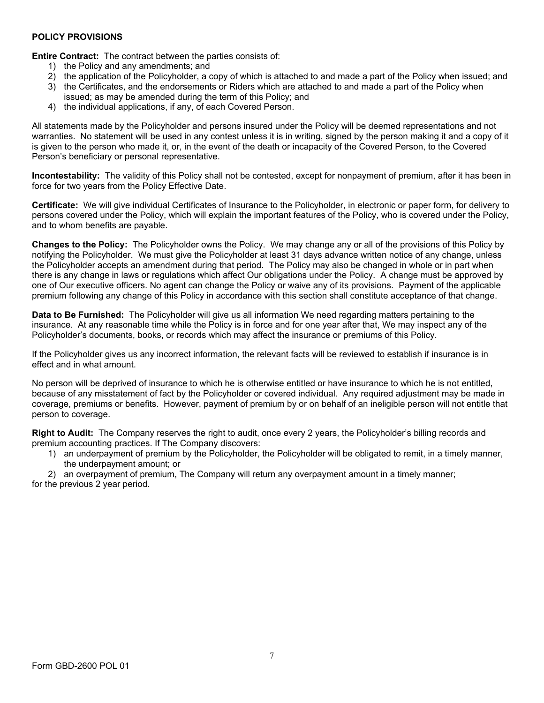# <span id="page-6-0"></span>**POLICY PROVISIONS**

**Entire Contract:** The contract between the parties consists of:

- 1) the Policy and any amendments; and
- 2) the application of the Policyholder, a copy of which is attached to and made a part of the Policy when issued; and
- 3) the Certificates, and the endorsements or Riders which are attached to and made a part of the Policy when issued; as may be amended during the term of this Policy; and
- 4) the individual applications, if any, of each Covered Person.

All statements made by the Policyholder and persons insured under the Policy will be deemed representations and not warranties. No statement will be used in any contest unless it is in writing, signed by the person making it and a copy of it is given to the person who made it, or, in the event of the death or incapacity of the Covered Person, to the Covered Person's beneficiary or personal representative.

**Incontestability:** The validity of this Policy shall not be contested, except for nonpayment of premium, after it has been in force for two years from the Policy Effective Date.

**Certificate:** We will give individual Certificates of Insurance to the Policyholder, in electronic or paper form, for delivery to persons covered under the Policy, which will explain the important features of the Policy, who is covered under the Policy, and to whom benefits are payable.

**Changes to the Policy:** The Policyholder owns the Policy. We may change any or all of the provisions of this Policy by notifying the Policyholder. We must give the Policyholder at least 31 days advance written notice of any change, unless the Policyholder accepts an amendment during that period. The Policy may also be changed in whole or in part when there is any change in laws or regulations which affect Our obligations under the Policy. A change must be approved by one of Our executive officers. No agent can change the Policy or waive any of its provisions. Payment of the applicable premium following any change of this Policy in accordance with this section shall constitute acceptance of that change.

**Data to Be Furnished:** The Policyholder will give us all information We need regarding matters pertaining to the insurance. At any reasonable time while the Policy is in force and for one year after that, We may inspect any of the Policyholder's documents, books, or records which may affect the insurance or premiums of this Policy.

If the Policyholder gives us any incorrect information, the relevant facts will be reviewed to establish if insurance is in effect and in what amount.

No person will be deprived of insurance to which he is otherwise entitled or have insurance to which he is not entitled, because of any misstatement of fact by the Policyholder or covered individual. Any required adjustment may be made in coverage, premiums or benefits. However, payment of premium by or on behalf of an ineligible person will not entitle that person to coverage.

**Right to Audit:** The Company reserves the right to audit, once every 2 years, the Policyholder's billing records and premium accounting practices. If The Company discovers:

1) an underpayment of premium by the Policyholder, the Policyholder will be obligated to remit, in a timely manner, the underpayment amount; or

2) an overpayment of premium, The Company will return any overpayment amount in a timely manner; for the previous 2 year period.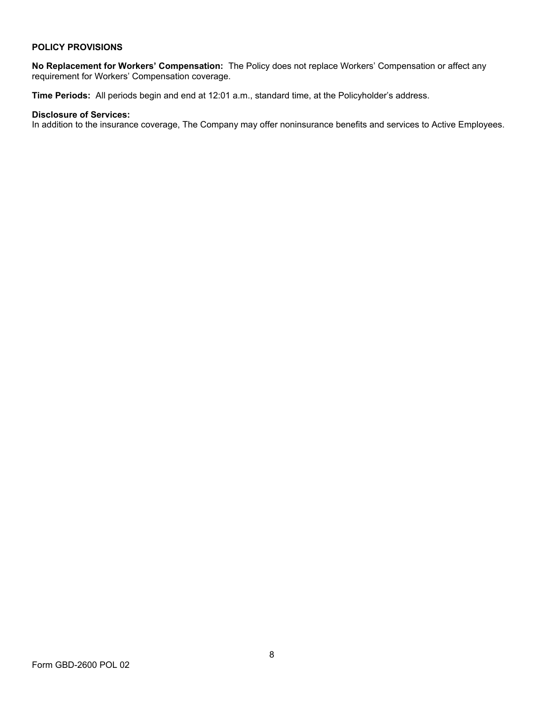# **POLICY PROVISIONS**

**No Replacement for Workers' Compensation:** The Policy does not replace Workers' Compensation or affect any requirement for Workers' Compensation coverage.

**Time Periods:** All periods begin and end at 12:01 a.m., standard time, at the Policyholder's address.

#### **Disclosure of Services:**

In addition to the insurance coverage, The Company may offer noninsurance benefits and services to Active Employees.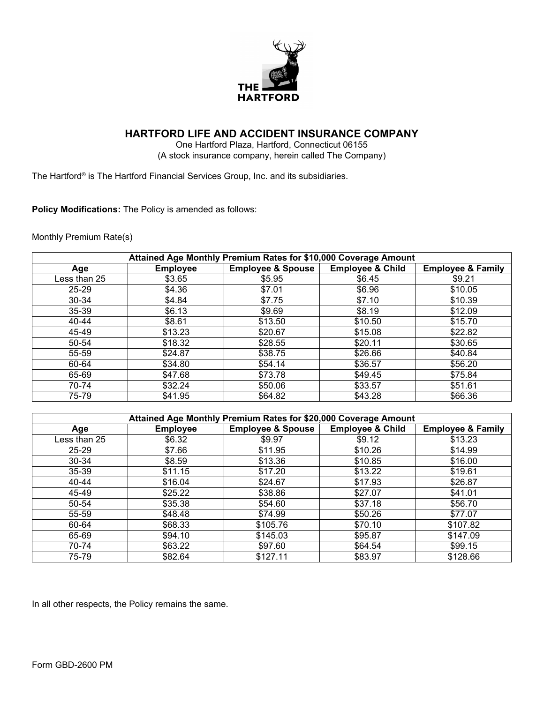

# **HARTFORD LIFE AND ACCIDENT INSURANCE COMPANY**

One Hartford Plaza, Hartford, Connecticut 06155 (A stock insurance company, herein called The Company)

The Hartford® is The Hartford Financial Services Group, Inc. and its subsidiaries.

**Policy Modifications:** The Policy is amended as follows:

Monthly Premium Rate(s)

| Attained Age Monthly Premium Rates for \$10,000 Coverage Amount |                 |                              |                  |                              |  |  |
|-----------------------------------------------------------------|-----------------|------------------------------|------------------|------------------------------|--|--|
| Age                                                             | <b>Employee</b> | <b>Employee &amp; Spouse</b> | Employee & Child | <b>Employee &amp; Family</b> |  |  |
| Less than 25                                                    | \$3.65          | \$5.95                       | \$6.45           | \$9.21                       |  |  |
| $25 - 29$                                                       | \$4.36          | \$7.01                       | \$6.96           | \$10.05                      |  |  |
| 30-34                                                           | \$4.84          | \$7.75                       | \$7.10           | \$10.39                      |  |  |
| $35 - 39$                                                       | \$6.13          | \$9.69                       | \$8.19           | \$12.09                      |  |  |
| 40-44                                                           | \$8.61          | \$13.50                      | \$10.50          | \$15.70                      |  |  |
| 45-49                                                           | \$13.23         | \$20.67                      | \$15.08          | \$22.82                      |  |  |
| 50-54                                                           | \$18.32         | \$28.55                      | \$20.11          | \$30.65                      |  |  |
| 55-59                                                           | \$24.87         | \$38.75                      | \$26.66          | \$40.84                      |  |  |
| 60-64                                                           | \$34.80         | \$54.14                      | \$36.57          | \$56.20                      |  |  |
| 65-69                                                           | \$47.68         | \$73.78                      | \$49.45          | \$75.84                      |  |  |
| 70-74                                                           | \$32.24         | \$50.06                      | \$33.57          | \$51.61                      |  |  |
| 75-79                                                           | \$41.95         | \$64.82                      | \$43.28          | \$66.36                      |  |  |

| Attained Age Monthly Premium Rates for \$20,000 Coverage Amount |                 |                              |                             |                              |  |  |  |
|-----------------------------------------------------------------|-----------------|------------------------------|-----------------------------|------------------------------|--|--|--|
| Age                                                             | <b>Employee</b> | <b>Employee &amp; Spouse</b> | <b>Employee &amp; Child</b> | <b>Employee &amp; Family</b> |  |  |  |
| Less than 25                                                    | \$6.32          | \$9.97                       | \$9.12                      | \$13.23                      |  |  |  |
| $25 - 29$                                                       | \$7.66          | \$11.95                      | \$10.26                     | \$14.99                      |  |  |  |
| $30 - 34$                                                       | \$8.59          | \$13.36                      | \$10.85                     | \$16.00                      |  |  |  |
| 35-39                                                           | \$11.15         | \$17.20                      | \$13.22                     | \$19.61                      |  |  |  |
| 40-44                                                           | \$16.04         | \$24.67                      | \$17.93                     | \$26.87                      |  |  |  |
| 45-49                                                           | \$25.22         | \$38.86                      | \$27.07                     | \$41.01                      |  |  |  |
| 50-54                                                           | \$35.38         | \$54.60                      | \$37.18                     | \$56.70                      |  |  |  |
| 55-59                                                           | \$48.48         | \$74.99                      | \$50.26                     | \$77.07                      |  |  |  |
| 60-64                                                           | \$68.33         | \$105.76                     | \$70.10                     | \$107.82                     |  |  |  |
| 65-69                                                           | \$94.10         | \$145.03                     | \$95.87                     | \$147.09                     |  |  |  |
| 70-74                                                           | \$63.22         | \$97.60                      | \$64.54                     | \$99.15                      |  |  |  |
| 75-79                                                           | \$82.64         | \$127.11                     | \$83.97                     | \$128.66                     |  |  |  |

In all other respects, the Policy remains the same.